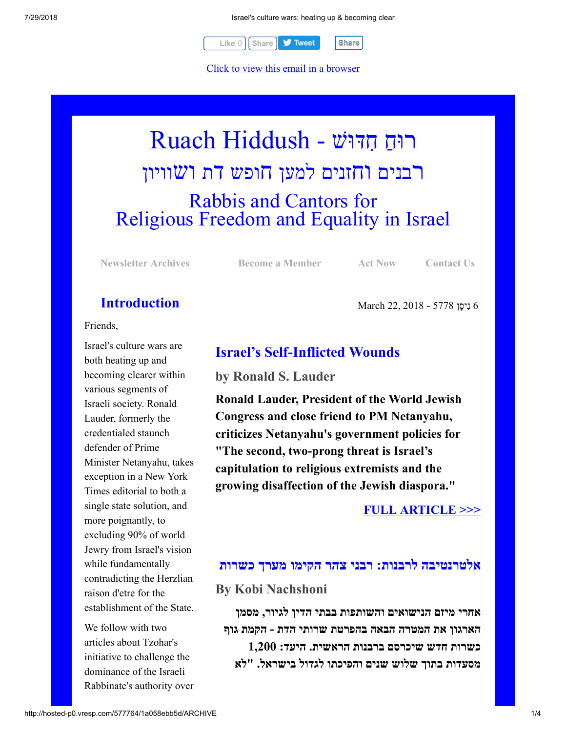

Click to view this email in a browser

# רוּחַ חִדּוּשׁ - Ruach Hiddush רבנים וחזנים למען חופש דת ושוויון Rabbis and Cantors for Religious Freedom and Equality in Israel

**[Newsletter Archives](http://rrfei.org/newsletters/) [Become a Member](http://rrfei.org/about/registration/) [Act Now](http://rrfei.org/act/) [Contact Us](http://rrfei.org/contact-us/)**

## **Introduction**

Friends,

Israel's culture wars are both heating up and becoming clearer within various segments of Israeli society. Ronald Lauder, formerly the credentialed staunch defender of Prime Minister Netanyahu, takes exception in a New York Times editorial to both a single state solution, and more poignantly, to excluding 90% of world Jewry from Israel's vision while fundamentally contradicting the Herzlian raison d'etre for the establishment of the State.

We follow with two articles about Tzohar's initiative to challenge the dominance of the Israeli Rabbinate's authority over 6 ִנ ָיסן 5778 - 2018 22, March

## **Israel's Self-Inflicted Wounds**

**by Ronald S. Lauder**

**Ronald Lauder, President of the World Jewish Congress and close friend to PM Netanyahu, criticizes Netanyahu's government policies for "The second, two-prong threat is Israel's capitulation to religious extremists and the growing disaffection of the Jewish diaspora."**

## **[FULL ARTICLE >>>](https://www.nytimes.com/2018/03/18/opinion/israel-70th-anniversary.html)**

## **אלטרנטיבה לרבנות: רבני צהר הקימו מערך כשרות**

#### **By Kobi Nachshoni**

**אחרי מיזם הנישואים והשותפות בבתי הדין לגיור, מסמן הארגון את המטרה הבאה בהפרטת שרותי הדת - הקמת גוף כשרות חדש שיכרסם ברבנות הראשית. היעד: 1,200 מסעדות בתוך שלוש שנים והפיכתו לגדול בישראל. "לא**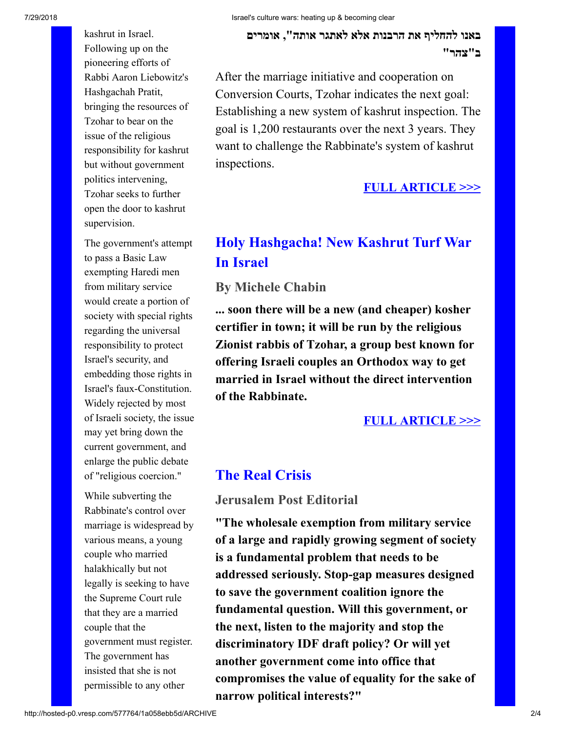kashrut in Israel. Following up on the pioneering efforts of Rabbi Aaron Liebowitz's Hashgachah Pratit, bringing the resources of Tzohar to bear on the issue of the religious responsibility for kashrut but without government politics intervening, Tzohar seeks to further open the door to kashrut supervision.

The government's attempt to pass a Basic Law exempting Haredi men from military service would create a portion of society with special rights regarding the universal responsibility to protect Israel's security, and embedding those rights in Israel's faux-Constitution. Widely rejected by most of Israeli society, the issue may yet bring down the current government, and enlarge the public debate of "religious coercion."

While subverting the Rabbinate's control over marriage is widespread by various means, a young couple who married halakhically but not legally is seeking to have the Supreme Court rule that they are a married couple that the government must register. The government has insisted that she is not permissible to any other

**באנו להחליף את הרבנות אלא לאתגר אותה", אומרים ב"צהר"**

After the marriage initiative and cooperation on Conversion Courts, Tzohar indicates the next goal: Establishing a new system of kashrut inspection. The goal is 1,200 restaurants over the next 3 years. They want to challenge the Rabbinate's system of kashrut inspections.

#### **[FULL ARTICLE >>>](https://www.ynet.co.il/articles/0,7340,L-5132426,00.html)**

## **Holy Hashgacha! New Kashrut Turf War In Israel**

#### **By Michele Chabin**

**... soon there will be a new (and cheaper) kosher certifier in town; it will be run by the religious Zionist rabbis of Tzohar, a group best known for offering Israeli couples an Orthodox way to get married in Israel without the direct intervention of the Rabbinate.**

#### **[FULL ARTICLE >>>](http://jewishweek.timesofisrael.com/holy-hashgacha-new-kashrut-turf-war/)**

#### **The Real Crisis**

#### **Jerusalem Post Editorial**

**"The wholesale exemption from military service of a large and rapidly growing segment of society is a fundamental problem that needs to be addressed seriously. Stop-gap measures designed to save the government coalition ignore the fundamental question. Will this government, or the next, listen to the majority and stop the discriminatory IDF draft policy? Or will yet another government come into office that compromises the value of equality for the sake of narrow political interests?"**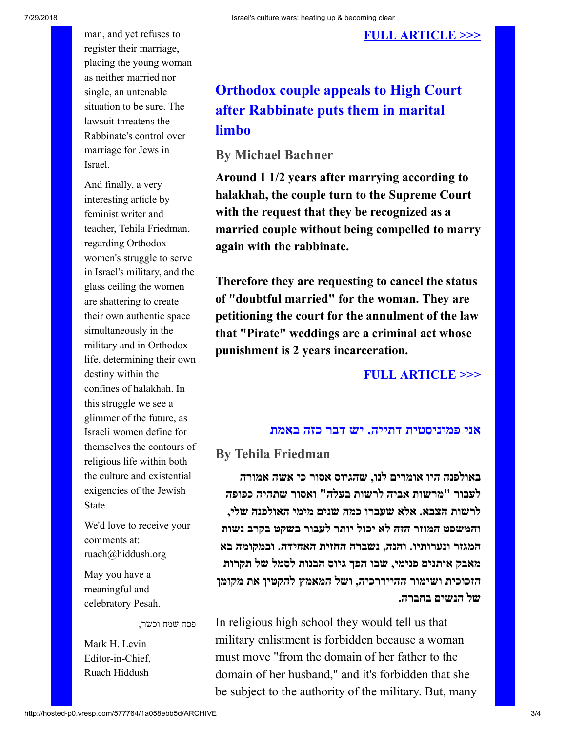man, and yet refuses to register their marriage, placing the young woman as neither married nor single, an untenable situation to be sure. The lawsuit threatens the Rabbinate's control over marriage for Jews in Israel.

And finally, a very interesting article by feminist writer and teacher, Tehila Friedman, regarding Orthodox women's struggle to serve in Israel's military, and the glass ceiling the women are shattering to create their own authentic space simultaneously in the military and in Orthodox life, determining their own destiny within the confines of halakhah. In this struggle we see a glimmer of the future, as Israeli women define for themselves the contours of religious life within both the culture and existential exigencies of the Jewish State.

We'd love to receive your comments at: ruach@hiddush.org

May you have a meaningful and celebratory Pesah.

פסח שמח וכשר,

Mark H. Levin Editor-in-Chief, Ruach Hiddush

# **Orthodox couple appeals to High Court after Rabbinate puts them in marital limbo**

### **By Michael Bachner**

**Around 1 1/2 years after marrying according to halakhah, the couple turn to the Supreme Court with the request that they be recognized as a married couple without being compelled to marry again with the rabbinate.**

**Therefore they are requesting to cancel the status of "doubtful married" for the woman. They are petitioning the court for the annulment of the law that "Pirate" weddings are a criminal act whose punishment is 2 years incarceration.**

#### **[FULL ARTICLE >>>](https://www.timesofisrael.com/orthodox-couple-appeals-to-high-court-after-rabbinate-puts-them-in-marital-limbo/)**

#### **אני פמיניסטית דתייה. יש דבר כזה באמת**

#### **By Tehila Friedman**

**באולפנה היו אומרים לנו, שהגיוס אסור כי אשה אמורה לעבור "מרשות אביה לרשות בעלה" ואסור שתהיה כפופה לרשות הצבא. אלא שעברו כמה שנים מימי האולפנה שלי, והמשפט המוזר הזה לא יכול יותר לעבור בשקט בקרב נשות המגזר ונערותיו. והנה, נשברה החזית האחידה. ובמקומה בא מאבק איתנים פנימי, שבו הפך גיוס הבנות לסמל של תקרות הזכוכית ושימור ההייררכיה, ושל המאמץ להקטין את מקומן של הנשים בחברה.**

In religious high school they would tell us that military enlistment is forbidden because a woman must move "from the domain of her father to the domain of her husband," and it's forbidden that she be subject to the authority of the military. But, many